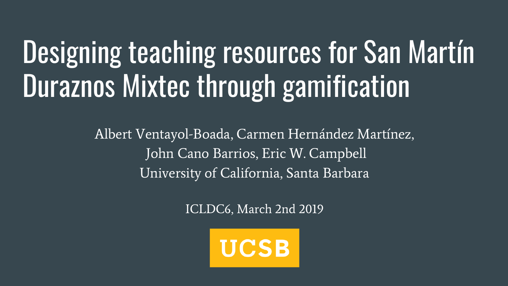# Designing teaching resources for San Martín Duraznos Mixtec through gamification

Albert Ventayol-Boada, Carmen Hernández Martínez, John Cano Barrios, Eric W. Campbell University of California, Santa Barbara

ICLDC6, March 2nd 2019

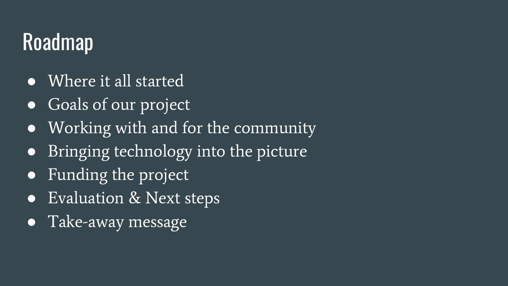## Roadmap

- Where it all started
- Goals of our project
- Working with and for the community
- Bringing technology into the picture
- Funding the project
- Evaluation & Next steps
- Take-away message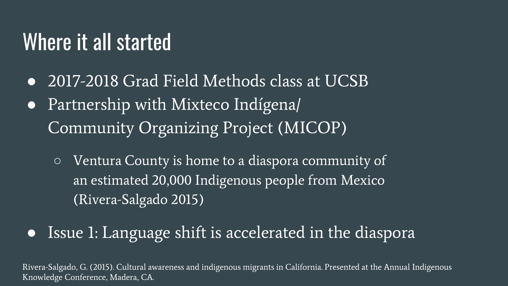#### Where it all started

● 2017-2018 Grad Field Methods class at UCSB ● Partnership with Mixteco Indígena/

Community Organizing Project (MICOP)

- Ventura County is home to a diaspora community of an estimated 20,000 Indigenous people from Mexico (Rivera-Salgado 2015)
- Issue 1: Language shift is accelerated in the diaspora

Rivera-Salgado, G. (2015). Cultural awareness and indigenous migrants in California. Presented at the Annual Indigenous Knowledge Conference, Madera, CA.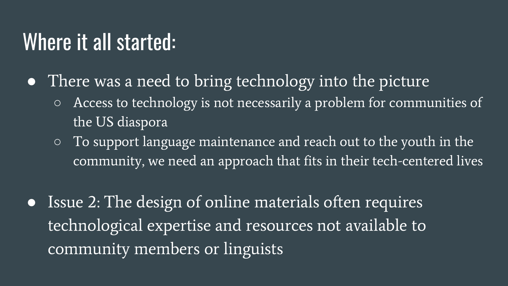#### Where it all started:

- There was a need to bring technology into the picture
	- Access to technology is not necessarily a problem for communities of the US diaspora
	- To support language maintenance and reach out to the youth in the community, we need an approach that fits in their tech-centered lives
- Issue 2: The design of online materials often requires technological expertise and resources not available to community members or linguists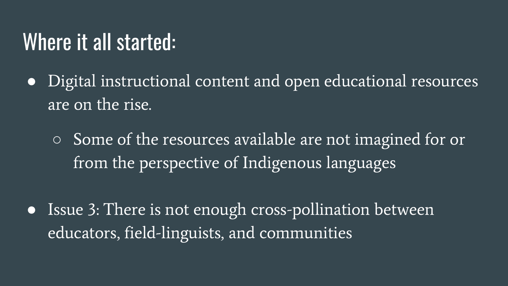#### Where it all started:

- Digital instructional content and open educational resources are on the rise.
	- Some of the resources available are not imagined for or from the perspective of Indigenous languages
- Issue 3: There is not enough cross-pollination between educators, field-linguists, and communities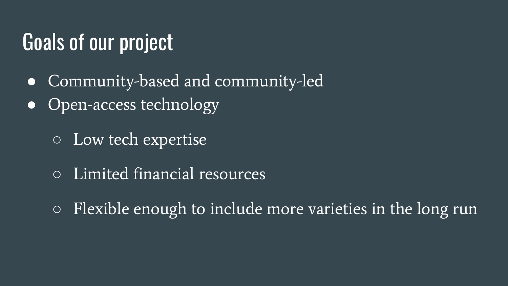#### Goals of our project

- Community-based and community-led
- Open-access technology
	- Low tech expertise
	- Limited financial resources
	- $\circ$  Flexible enough to include more varieties in the long run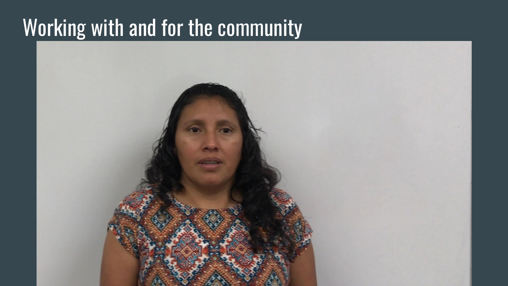#### Working with and for the community

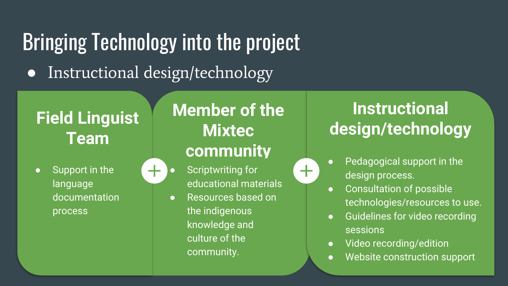#### Bringing Technology into the project ● Instructional design/technology

#### **Field Linguist Team**

● Support in the language documentation process

#### **Member of the Mixtec community**

 $\div$ 

Scriptwriting for educational materials ● Resources based on the indigenous knowledge and culture of the community.

#### **Instructional design/technology**

- Pedagogical support in the design process.
- Consultation of possible technologies/resources to use.
- Guidelines for video recording sessions
- Video recording/edition
- Website construction support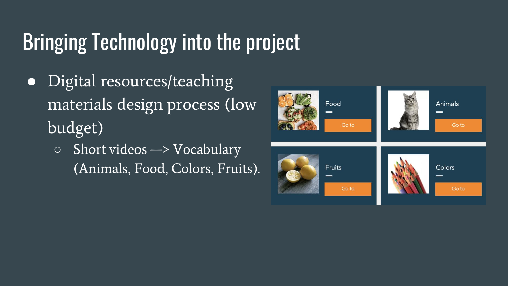- Digital resources/teaching materials design process (low budget)
	- $\circ$  Short videos  $\rightarrow$  Vocabulary (Animals, Food, Colors, Fruits).

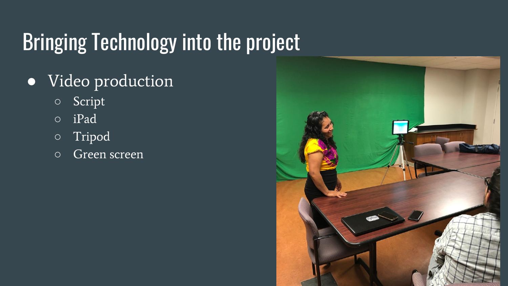- Video production
	- Script
	- iPad
	- Tripod
	- Green screen

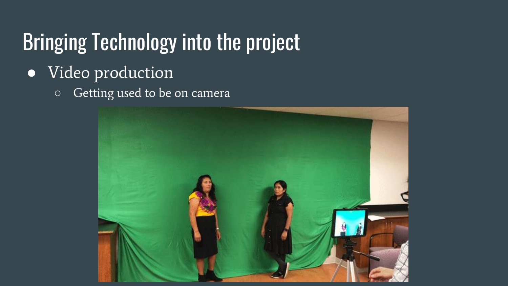- Video production
	- Getting used to be on camera

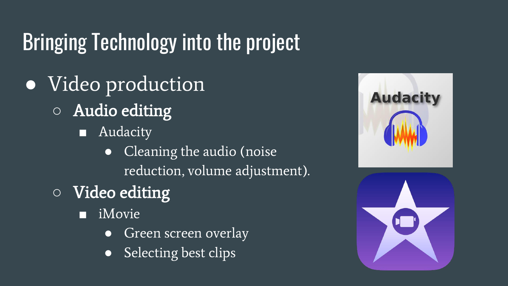- Video production ○ Audio editing
	- Audacity
		- Cleaning the audio (noise reduction, volume adjustment).
	- Video editing
		- iMovie
			- Green screen overlay
			- Selecting best clips

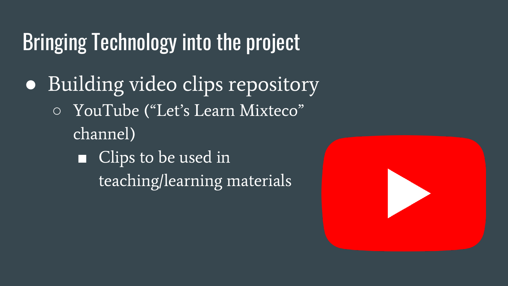- Building video clips repository ○ YouTube ("Let's Learn Mixteco" channel)
	- Clips to be used in teaching/learning materials

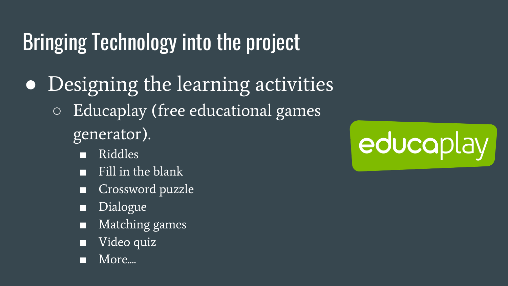- Designing the learning activities ○ Educaplay (free educational games generator).
	- Riddles
	- Fill in the blank
	- Crossword puzzle
	- **Dialogue**
	- Matching games
	- Video quiz
	- More....

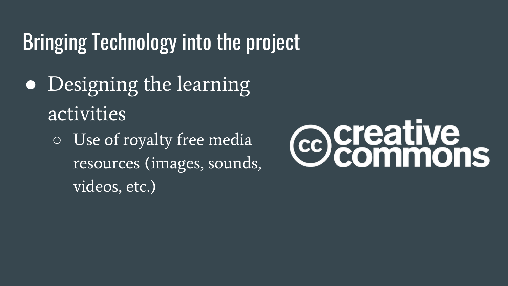- Designing the learning activities
	- Use of royalty free media resources (images, sounds, videos, etc.)

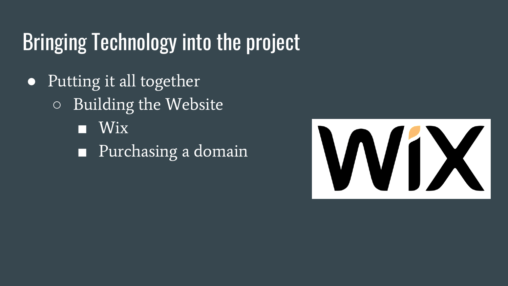- Putting it all together ○ Building the Website ■ Wix
	- Purchasing a domain

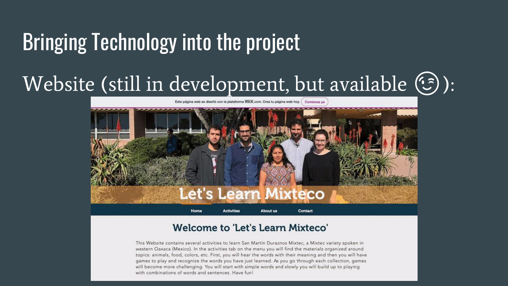#### Website (still in development, but available  $(\mathcal{F})$ ):



#### **Welcome to 'Let's Learn Mixteco'**

This Website contains several activities to learn San Martín Duraznos Mixtec, a Mixtec variety spoken in western Oaxaca (Mexico). In the activities tab on the menu you will find the materials organized around topics: animals, food, colors, etc. First, you will hear the words with their meaning and then you will have games to play and recognize the words you have just learned. As you go through each collection, games will become more challenging. You will start with simple words and slowly you will build up to playing with combinations of words and sentences. Have fun!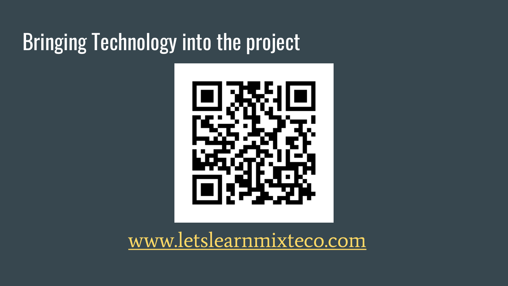

[www.letslearnmixteco.com](http://www.letslearnmixteco.com)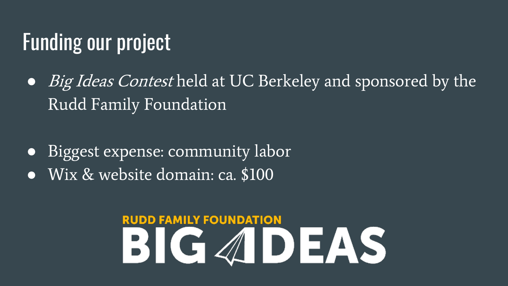#### Funding our project

- *Big Ideas Contest* held at UC Berkeley and sponsored by the Rudd Family Foundation
- Biggest expense: community labor
- Wix & website domain: ca. \$100

## **RUDD FAMILY FOUNDATION BIGADEAS**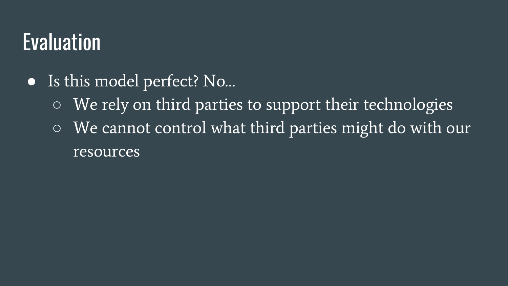#### Evaluation

- Is this model perfect? No...
	- We rely on third parties to support their technologies
	- We cannot control what third parties might do with our resources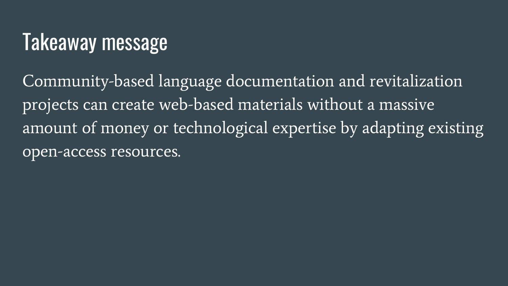## Takeaway message

Community-based language documentation and revitalization projects can create web-based materials without a massive amount of money or technological expertise by adapting existing open-access resources.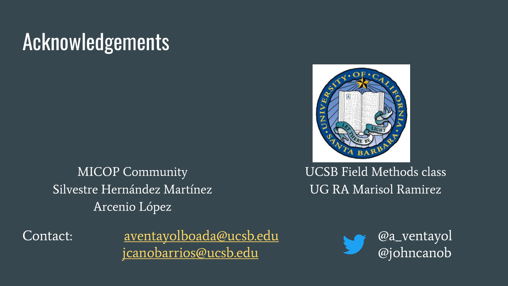### **Acknowledgements**

MICOP Community Silvestre Hernández Martínez Arcenio López



UCSB Field Methods class UG RA Marisol Ramirez

Contact: [aventayolboada@ucsb.edu](mailto:aventayolboada@ucsb.edu) @a\_ventayol<br>j<u>canobarrios@ucsb.edu</u> @johncanob [jcanobarrios@ucsb.edu](mailto:jcanobarrios@ucsb.edu)